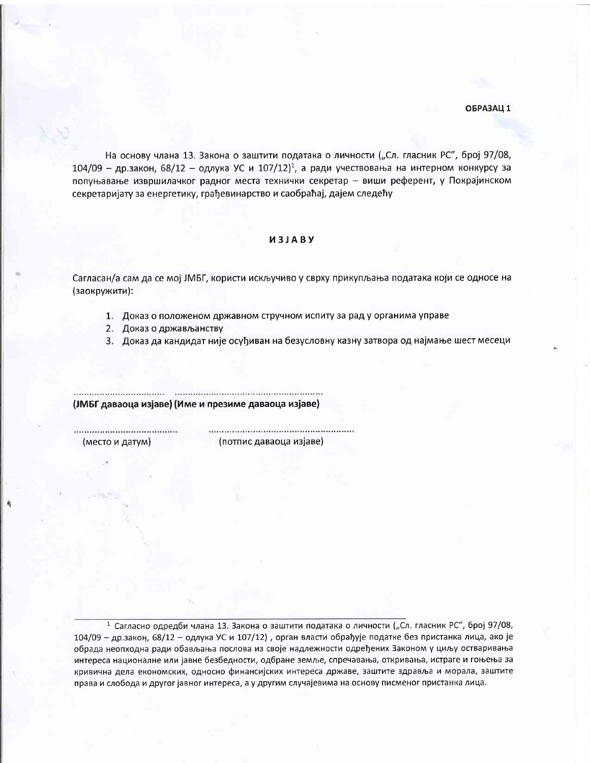На основу члана 13. Закона о заштити података о личности ("Сл. гласник РС", број 97/08,  $104/09$  - др.закон, 68/12 - одлука УС и  $107/12$ <sup>1</sup>, а ради учествовања на интерном конкурсу за попуњавање извршилачког радног места технички секретар - виши референт, у Покрајинском секретаријату за енергетику, грађевинарство и саобраћај, дајем следећу

## *M3JABY*

Сагласан/а сам да се мој ЈМБГ, користи искључиво у сврху прикупљања података који се односе на (заокружити):

- 1. Доказ о положеном државном стручном испиту за рад у органима управе
- 2. Доказ о држављанству
- 3. Доказ да кандидат није осуђиван на безусловну казну затвора од најмање шест месеци

(ЈМБГ даваоца изјаве) (Име и презиме даваоца изјаве)

(место и датум)

(потпис даваоца изјаве)

<sup>1</sup> Сагласно одредби члана 13. Закона о заштити података о личности ("Сл. гласник РС", број 97/08, 104/09 - др.закон, 68/12 - одлука УС и 107/12), орган власти обрађује податке без пристанка лица, ако је обрада неопходна ради обављања послова из своје надлежности одређених Законом у циљу остваривања интереса националне или јавне безбедности, одбране земље, спречавања, откривања, истраге и гоњења за кривична дела економских, односно финансијских интереса државе, заштите здравља и морала, заштите права и слобода и другог јавног интереса, а у другим случајевима на основу писменог пристанка лица.